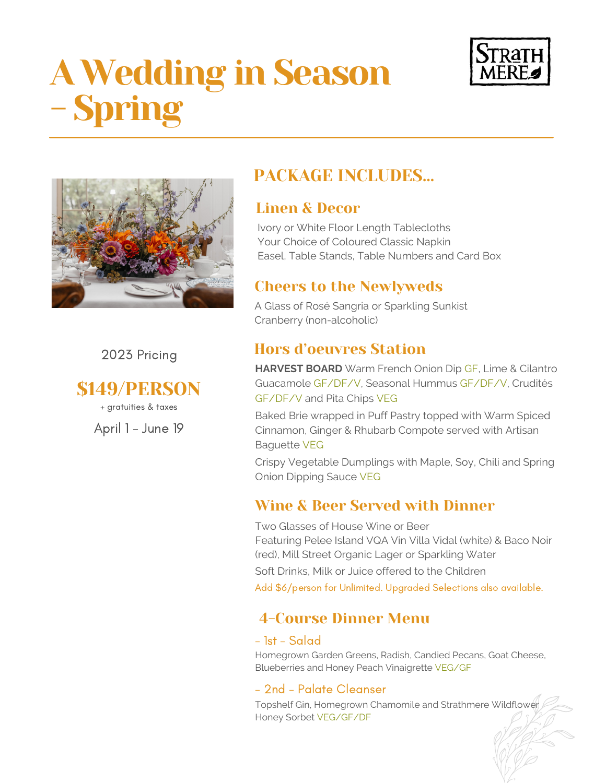# A Wedding in Season - Spring





2023 Pricing

\$149/PERSON

+ gratuities & taxes

April 1 - June 19

# PACKAGE INCLUDES…

# Linen & Decor

Ivory or White Floor Length Tablecloths Your Choice of Coloured Classic Napkin Easel, Table Stands, Table Numbers and Card Box

# Cheers to the Newlyweds

A Glass of Rosé Sangria or Sparkling Sunkist Cranberry (non-alcoholic)

# Hors d'oeuvres Station

**HARVEST BOARD** Warm French Onion Dip GF, Lime & Cilantro Guacamole GF/DF/V, Seasonal Hummus GF/DF/V, Crudités GF/DF/V and Pita Chips VEG

Baked Brie wrapped in Puff Pastry topped with Warm Spiced Cinnamon, Ginger & Rhubarb Compote served with Artisan Baguette VEG

Crispy Vegetable Dumplings with Maple, Soy, Chili and Spring Onion Dipping Sauce VEG

# Wine & Beer Served with Dinner

Two Glasses of House Wine or Beer Featuring Pelee Island VQA Vin Villa Vidal (white) & Baco Noir (red), Mill Street Organic Lager or Sparkling Water Soft Drinks, Milk or Juice offered to the Children Add \$6/person for Unlimited. Upgraded Selections also available.

# 4-Course Dinner Menu

## - 1st - Salad

Homegrown Garden Greens, Radish, Candied Pecans, Goat Cheese, Blueberries and Honey Peach Vinaigrette VEG/GF

## - 2nd - Palate Cleanser

Topshelf Gin, Homegrown Chamomile and Strathmere Wildflower Honey Sorbet VEG/GF/DF